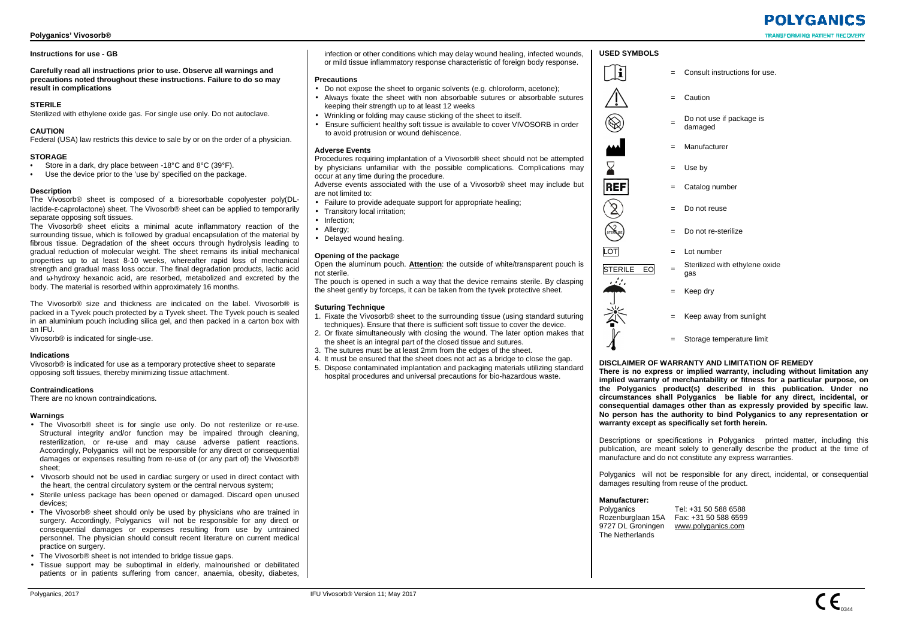## **Instructions for use - GB**

**Carefully read all instructions prior to use. Observe all warnings and precautions noted throughout these instructions. Failure to do so may result in complications** 

## **STERILE**

Sterilized with ethylene oxide gas. For single use only. Do not autoclave.

## **CAUTION**

Federal (USA) law restricts this device to sale by or on the order of a physician.

## **STORAGE**

- Store in a dark, dry place between -18°C and 8°C (39°F).
- Use the device prior to the 'use by' specified on the package.

## **Description**

 The Vivosorb® sheet is composed of a bioresorbable copolyester poly(DLlactide-ε-caprolactone) sheet. The Vivosorb® sheet can be applied to temporarily separate opposing soft tissues

 The Vivosorb® sheet elicits a minimal acute inflammatory reaction of the surrounding tissue, which is followed by gradual encapsulation of the material by fibrous tissue. Degradation of the sheet occurs through hydrolysis leading to gradual reduction of molecular weight. The sheet remains its initial mechanical properties up to at least 8-10 weeks, whereafter rapid loss of mechanical strength and gradual mass loss occur. The final degradation products, lactic acid and ω-hydroxy hexanoic acid, are resorbed, metabolized and excreted by the body. The material is resorbed within approximately 16 months.

The Vivosorb® size and thickness are indicated on the label. Vivosorb® is packed in a Tyvek pouch protected by a Tyvek sheet. The Tyvek pouch is sealed in an aluminium pouch including silica gel, and then packed in a carton box with an IFU.

Vivosorb® is indicated for single-use.

## **Indications**

 Vivosorb® is indicated for use as a temporary protective sheet to separate opposing soft tissues, thereby minimizing tissue attachment.

## **Contraindications**

There are no known contraindications.

## **Warnings**

- The Vivosorb® sheet is for single use only. Do not resterilize or re-use. Structural integrity and/or function may be impaired through cleaning, resterilization, or re-use and may cause adverse patient reactions. Accordingly, Polyganics will not be responsible for any direct or consequential damages or expenses resulting from re-use of (or any part of) the Vivosorb® sheet;
- Vivosorb should not be used in cardiac surgery or used in direct contact with the heart, the central circulatory system or the central nervous system;
- Sterile unless package has been opened or damaged. Discard open unused devices;
- The Vivosorb® sheet should only be used by physicians who are trained in surgery. Accordingly, Polyganics will not be responsible for any direct or consequential damages or expenses resulting from use by untrained personnel. The physician should consult recent literature on current medical practice on surgery.
- The Vivosorb® sheet is not intended to bridge tissue gaps.
- Tissue support may be suboptimal in elderly, malnourished or debilitated patients or in patients suffering from cancer, anaemia, obesity, diabetes,

infection or other conditions which may delay wound healing, infected wounds, or mild tissue inflammatory response characteristic of foreign body response.

## **Precautions**

- Do not expose the sheet to organic solvents (e.g. chloroform, acetone);
- Always fixate the sheet with non absorbable sutures or absorbable sutures keeping their strength up to at least 12 weeks
- Wrinkling or folding may cause sticking of the sheet to itself.
- Ensure sufficient healthy soft tissue is available to cover VIVOSORB in order to avoid protrusion or wound dehiscence.

## **Adverse Events**

 Procedures requiring implantation of a Vivosorb® sheet should not be attempted by physicians unfamiliar with the possible complications. Complications may occur at any time during the procedure.

 Adverse events associated with the use of a Vivosorb® sheet may include but are not limited to:

- Failure to provide adequate support for appropriate healing;
- Transitory local irritation;
- Infection:
- Allergy;
- Delayed wound healing.

## **Opening of the package**

 Open the aluminum pouch. **Attention**: the outside of white/transparent pouch is not sterile.

 The pouch is opened in such a way that the device remains sterile. By clasping the sheet gently by forceps, it can be taken from the tyvek protective sheet.

## **Suturing Technique**

- 1. Fixate the Vivosorb® sheet to the surrounding tissue (using standard suturing techniques). Ensure that there is sufficient soft tissue to cover the device.
- 2. Or fixate simultaneously with closing the wound. The later option makes that the sheet is an integral part of the closed tissue and sutures.
- 3. The sutures must be at least 2mm from the edges of the sheet.
- 4. It must be ensured that the sheet does not act as a bridge to close the gap.
- 5. Dispose contaminated implantation and packaging materials utilizing standard hospital procedures and universal precautions for bio-hazardous waste.



= Consult instructions for use.

## **DISCLAIMER OF WARRANTY AND LIMITATION OF REMEDY**

 **There is no express or implied warranty, including without limitation any implied warranty of merchantability or fitness for a particular purpose, on the Polyganics product(s) described in this publication. Under no circumstances shall Polyganics be liable for any direct, incidental, or consequential damages other than as expressly provided by specific law. No person has the authority to bind Polyganics to any representation or warranty except as specifically set forth herein.** 

Descriptions or specifications in Polyganics printed matter, including this publication, are meant solely to generally describe the product at the time of manufacture and do not constitute any express warranties.

Polyganics will not be responsible for any direct, incidental, or consequential damages resulting from reuse of the product.

## **Manufacturer:**

Polyganics Tel: +31 50 588 6588 Rozenburglaan 15A Fax: +31 50 588 6599 9727 DL Groningen www.polyganics.com The Netherlands

# **POIYGANICS**

**TRANSFORMING PATIENT RECOVI** 

## **USED SYMBOLS**

 $\widetilde{\mathbf{h}}$ 

 $\bigotimes$ 

X.

 $\widehat{\mathbb{Z}}$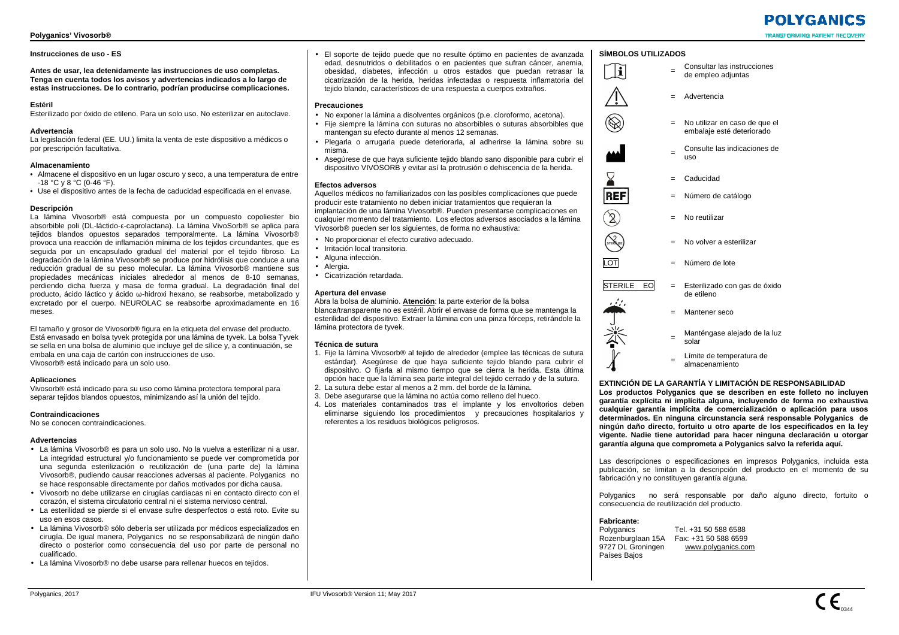## **Instrucciones de uso - ES**

**Antes de usar, lea detenidamente las instrucciones de uso completas. Tenga en cuenta todos los avisos y advertencias indicados a lo largo de estas instrucciones. De lo contrario, podrían producirse complicaciones.** 

## **Estéril**

Esterilizado por óxido de etileno. Para un solo uso. No esterilizar en autoclave.

#### **Advertencia**

 La legislación federal (EE. UU.) limita la venta de este dispositivo a médicos o por prescripción facultativa.

## **Almacenamiento**

- Almacene el dispositivo en un lugar oscuro y seco, a una temperatura de entre -18 °C y 8 °C (0-46 °F).
- Use el dispositivo antes de la fecha de caducidad especificada en el envase.

## **Descripción**

 La lámina Vivosorb® está compuesta por un compuesto copoliester bio absorbible poli (DL-láctido-ε-caprolactana). La lámina VivoSorb® se aplica para tejidos blandos opuestos separados temporalmente. La lámina Vivosorb® provoca una reacción de inflamación mínima de los tejidos circundantes, que es seguida por un encapsulado gradual del material por el tejido fibroso. La degradación de la lámina Vivosorb® se produce por hidrólisis que conduce a una reducción gradual de su peso molecular. La lámina Vivosorb® mantiene sus propiedades mecánicas iniciales alrededor al menos de 8-10 semanas, perdiendo dicha fuerza y masa de forma gradual. La degradación final del producto, ácido láctico y ácido ω-hidroxi hexano, se reabsorbe, metabolizado y excretado por el cuerpo. NEUROLAC se reabsorbe aproximadamente en 16 meses.

El tamaño y grosor de Vivosorb® figura en la etiqueta del envase del producto. Está envasado en bolsa tyvek protegida por una lámina de tyvek. La bolsa Tyvek se sella en una bolsa de aluminio que incluye gel de sílice y, a continuación, se embala en una caja de cartón con instrucciones de uso. Vivosorb® está indicado para un solo uso.

## **Aplicaciones**

 Vivosorb® está indicado para su uso como lámina protectora temporal para separar tejidos blandos opuestos, minimizando así la unión del tejido.

## **Contraindicaciones**

No se conocen contraindicaciones.

#### **Advertencias**

- La lámina Vivosorb® es para un solo uso. No la vuelva a esterilizar ni a usar. La integridad estructural y/o funcionamiento se puede ver comprometida por una segunda esterilización o reutilización de (una parte de) la lámina Vivosorb®, pudiendo causar reacciones adversas al paciente. Polyganics no se hace responsable directamente por daños motivados por dicha causa.
- Vivosorb no debe utilizarse en cirugías cardiacas ni en contacto directo con el corazón, el sistema circulatorio central ni el sistema nervioso central.
- La esterilidad se pierde si el envase sufre desperfectos o está roto. Evite su uso en esos casos.
- La lámina Vivosorb® sólo debería ser utilizada por médicos especializados en cirugía. De igual manera, Polyganics no se responsabilizará de ningún daño directo o posterior como consecuencia del uso por parte de personal no cualificado.
- La lámina Vivosorb® no debe usarse para rellenar huecos en tejidos.

• El soporte de tejido puede que no resulte óptimo en pacientes de avanzada edad, desnutridos o debilitados o en pacientes que sufran cáncer, anemia, obesidad, diabetes, infección u otros estados que puedan retrasar la cicatrización de la herida, heridas infectadas o respuesta inflamatoria del tejido blando, característicos de una respuesta a cuerpos extraños.

## **Precauciones**

- No exponer la lámina a disolventes orgánicos (p.e. cloroformo, acetona).
- Fije siempre la lámina con suturas no absorbibles o suturas absorbibles que mantengan su efecto durante al menos 12 semanas.
- Plegarla o arrugarla puede deteriorarla, al adherirse la lámina sobre su misma.
- Asegúrese de que haya suficiente tejido blando sano disponible para cubrir el dispositivo VIVOSORB y evitar así la protrusión o dehiscencia de la herida.

## **Efectos adversos**

 Aquellos médicos no familiarizados con las posibles complicaciones que puede producir este tratamiento no deben iniciar tratamientos que requieran la implantación de una lámina Vivosorb®. Pueden presentarse complicaciones en cualquier momento del tratamiento. Los efectos adversos asociados a la lámina Vivosorb® pueden ser los siguientes, de forma no exhaustiva:

- No proporcionar el efecto curativo adecuado.
- Irritación local transitoria.
- Alguna infección.
- Alergia.
- Cicatrización retardada.

## **Apertura del envase**

 Abra la bolsa de aluminio. **Atención**: la parte exterior de la bolsa blanca/transparente no es estéril. Abrir el envase de forma que se mantenga la esterilidad del dispositivo. Extraer la lámina con una pinza fórceps, retirándole la lámina protectora de tyvek.

## **Técnica de sutura**

- 1. Fije la lámina Vivosorb® al tejido de alrededor (emplee las técnicas de sutura estándar). Asegúrese de que haya suficiente tejido blando para cubrir el dispositivo. O fijarla al mismo tiempo que se cierra la herida. Esta última opción hace que la lámina sea parte integral del tejido cerrado y de la sutura.
- 2. La sutura debe estar al menos a 2 mm. del borde de la lámina.
- 3. Debe asegurarse que la lámina no actúa como relleno del hueco. 4. Los materiales contaminados tras el implante y los envoltorios deben
- eliminarse siguiendo los procedimientos y precauciones hospitalarios y referentes a los residuos biológicos peligrosos.

## **SÍMBOLOS UTILIZADOS**

= Consultar las instrucciones de empleo adjuntas



 $\mathbf{u}$ 

 $\bigotimes$ 

- = Advertencia
- = No utilizar en caso de que el embalaje esté deteriorado
- = Consulte las indicaciones de uso



 $\mathcal{S}$ 

 $\sum_{\rm reR}$ 

- = Caducidad
- = Número de catálogo
- = No reutilizar
- = No volver a esterilizar
- LOT = Número de lote

## $STERILE | EO = Esterilizado con gas de óxido$

de etileno



- = Mantener seco
- Manténgase alejado de la luz<br>solar
- = Límite de temperatura de
- 

**EXTINCIÓN DE LA GARANTĺA Y LIMITACIÓN DE RESPONSABILIDAD Los productos Polyganics que se describen en este folleto no incluyen garantía explícita ni implícita alguna, incluyendo de forma no exhaustiva cualquier garantía implícita de comercialización o aplicación para usos determinados. En ninguna circunstancia será responsable Polyganics de ningún daño directo, fortuito u otro aparte de los especificados en la ley vigente. Nadie tiene autoridad para hacer ninguna declaración u otorgar garantía alguna que comprometa a Polyganics salvo la referida aquí.** 

Las descripciones o especificaciones en impresos Polyganics, incluida esta publicación, se limitan a la descripción del producto en el momento de su fabricación y no constituyen garantía alguna.

Polyganics no será responsable por daño alguno directo, fortuito o consecuencia de reutilización del producto.

## **Fabricante:**

Polyganics Tel. +31 50 588 6588 Rozenburglaan 15A Fax: +31 50 588 6599 9727 DL Groningen www.polyganics.com Países Bajos

## **POIYGANICS TRANSFORMING PATIENT RECOVE**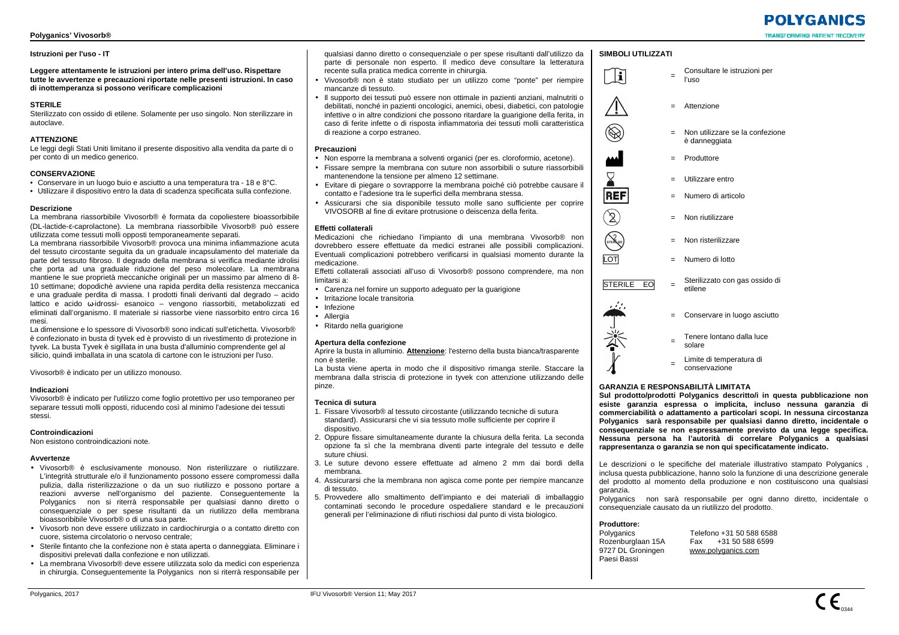## **Istruzioni per l'uso - IT**

**Leggere attentamente le istruzioni per intero prima dell'uso. Rispettare tutte le avvertenze e precauzioni riportate nelle presenti istruzioni. In caso di inottemperanza si possono verificare complicazioni** 

## **STERILE**

 Sterilizzato con ossido di etilene. Solamente per uso singolo. Non sterilizzare in autoclave.

## **ATTENZIONE**

 Le leggi degli Stati Uniti limitano il presente dispositivo alla vendita da parte di o per conto di un medico generico.

## **CONSERVAZIONE**

- Conservare in un luogo buio e asciutto a una temperatura tra 18 e 8°C.
- Utilizzare il dispositivo entro la data di scadenza specificata sulla confezione.

## **Descrizione**

 La membrana riassorbibile Vivosorb® è formata da copoliestere bioassorbibile (DL-lactide-ε-caprolactone). La membrana riassorbibile Vivosorb® può essere utilizzata come tessuti molli opposti temporaneamente separati.

 La membrana riassorbibile Vivosorb® provoca una minima infiammazione acuta del tessuto circostante seguita da un graduale incapsulamento del materiale da parte del tessuto fibroso. Il degrado della membrana si verifica mediante idrolisi che porta ad una graduale riduzione del peso molecolare. La membrana mantiene le sue proprietà meccaniche originali per un massimo par almeno di 8- 10 settimane; dopodichè avviene una rapida perdita della resistenza meccanica e una graduale perdita di massa. I prodotti finali derivanti dal degrado – acido lattico e acido ω-idrossi- esanoico – vengono riassorbiti, metabolizzati ed eliminati dall'organismo. Il materiale si riassorbe viene riassorbito entro circa 16 mesi.

 La dimensione e lo spessore di Vivosorb® sono indicati sull'etichetta. Vivosorb® è confezionato in busta di tyvek ed è provvisto di un rivestimento di protezione in tyvek. La busta Tyvek è sigillata in una busta d'alluminio comprendente gel al silicio, quindi imballata in una scatola di cartone con le istruzioni per l'uso.

Vivosorb® è indicato per un utilizzo monouso.

## **Indicazioni**

 Vivosorb® è indicato per l'utilizzo come foglio protettivo per uso temporaneo per separare tessuti molli opposti, riducendo così al minimo l'adesione dei tessuti stessi.

## **Controindicazioni**

Non esistono controindicazioni note.

## **Avvertenze**

- Vivosorb® è esclusivamente monouso. Non risterilizzare o riutilizzare. L'integrità strutturale e/o il funzionamento possono essere compromessi dalla pulizia, dalla risterilizzazione o da un suo riutilizzo e possono portare a reazioni avverse nell'organismo del paziente. Conseguentemente la Polyganics non si riterrà responsabile per qualsiasi danno diretto o consequenziale o per spese risultanti da un riutilizzo della membrana bioassoribibile Vivosorb® o di una sua parte.
- Vivosorb non deve essere utilizzato in cardiochirurgia o a contatto diretto con cuore, sistema circolatorio o nervoso centrale;
- Sterile fintanto che la confezione non è stata aperta o danneggiata. Eliminare i dispositivi prelevati dalla confezione e non utilizzati.
- La membrana Vivosorb® deve essere utilizzata solo da medici con esperienza in chirurgia. Conseguentemente la Polyganics non si riterrà responsabile per

qualsiasi danno diretto o consequenziale o per spese risultanti dall'utilizzo da parte di personale non esperto. Il medico deve consultare la letteratura recente sulla pratica medica corrente in chirurgia.

- Vivosorb® non è stato studiato per un utilizzo come "ponte" per riempire mancanze di tessuto.
- Il supporto dei tessuti può essere non ottimale in pazienti anziani, malnutriti o debilitati, nonché in pazienti oncologici, anemici, obesi, diabetici, con patologie infettive o in altre condizioni che possono ritardare la guarigione della ferita, in caso di ferite infette o di risposta infiammatoria dei tessuti molli caratteristica di reazione a corpo estraneo.

#### **Precauzioni**

- Non esporre la membrana a solventi organici (per es. cloroformio, acetone).
- Fissare sempre la membrana con suture non assorbibili o suture riassorbibili mantenendone la tensione per almeno 12 settimane.
- Evitare di piegare o sovrapporre la membrana poiché ciò potrebbe causare il contatto e l'adesione tra le superfici della membrana stessa.
- Assicurarsi che sia disponibile tessuto molle sano sufficiente per coprire VIVOSORB al fine di evitare protrusione o deiscenza della ferita.

## **Effetti collaterali**

 Medicazioni che richiedano l'impianto di una membrana Vivosorb® non dovrebbero essere effettuate da medici estranei alle possibili complicazioni. Eventuali complicazioni potrebbero verificarsi in qualsiasi momento durante la medicazione.

 Effetti collaterali associati all'uso di Vivosorb® possono comprendere, ma non limitarsi a:

- Carenza nel fornire un supporto adeguato per la guarigione
- Irritazione locale transitoria
- Infezione
- Allergia
- Ritardo nella guarigione

## **Apertura della confezione**

 Aprire la busta in alluminio. **Attenzione**: l'esterno della busta bianca/trasparente non è sterile.

 La busta viene aperta in modo che il dispositivo rimanga sterile. Staccare la membrana dalla striscia di protezione in tyvek con attenzione utilizzando delle pinze.

## **Tecnica di sutura**

- 1. Fissare Vivosorb® al tessuto circostante (utilizzando tecniche di sutura standard). Assicurarsi che vi sia tessuto molle sufficiente per coprire il dispositivo.
- 2. Oppure fissare simultaneamente durante la chiusura della ferita. La seconda opzione fa sì che la membrana diventi parte integrale del tessuto e delle suture chiusi.
- 3. Le suture devono essere effettuate ad almeno 2 mm dai bordi della membrana.
- 4. Assicurarsi che la membrana non agisca come ponte per riempire mancanze di tessuto.
- 5. Provvedere allo smaltimento dell'impianto e dei materiali di imballaggio contaminati secondo le procedure ospedaliere standard e le precauzioni generali per l'eliminazione di rifiuti rischiosi dal punto di vista biologico.

## **SIMBOLI UTILIZZATI**

 $\tilde{\mathbf{i}}$ 

 $\bigotimes$ 

▽ **REF** 

> $\cancel{5}$  $\widehat{\mathbb{R}}$



- 
- = Numero di articolo
- = Non riutilizzare
- = Non risterilizzare
- $\overline{I}$   $\overline{O}$  = Numero di lotto



 $\begin{array}{rcl} \text{STERILE} & \text{EO} \\ \hline \end{array}$  =  $\begin{array}{rcl} \text{Sterilizzato con gas ossido di} \\ \text{etilene} \end{array}$ 



- = Conservare in luogo asciutto
- = Tenere lontano dalla luce solare
- = Limite di temperatura di conservazione
- 

## **GARANZIA E RESPONSABILITÀ LIMITATA**

 **Sul prodotto/prodotti Polyganics descritto/i in questa pubblicazione non esiste garanzia espressa o implicita, incluso nessuna garanzia di commerciabilità o adattamento a particolari scopi. In nessuna circostanza Polyganics sarà responsabile per qualsiasi danno diretto, incidentale o consequenziale se non espressamente previsto da una legge specifica. Nessuna persona ha l'autorità di correlare Polyganics a qualsiasi rappresentanza o garanzia se non qui specificatamente indicato.** 

Le descrizioni o le specifiche del materiale illustrativo stampato Polyganics , inclusa questa pubblicazione, hanno solo la funzione di una descrizione generale del prodotto al momento della produzione e non costituiscono una qualsiasi garanzia.

 Polyganics non sarà responsabile per ogni danno diretto, incidentale o consequenziale causato da un riutilizzo del prodotto.

| <b>Produttore:</b> |
|--------------------|
|--------------------|

| Polyganics        |
|-------------------|
| Rozenburglaan 15A |
| 9727 DL Groningen |
| Paesi Bassi       |

 Telefono +31 50 588 6588 Rozenburglaan 15A Fax +31 50 588 6599 www.polyganics.com

# **POIYGANICS TRANSFORMING PATIENT RECOVE**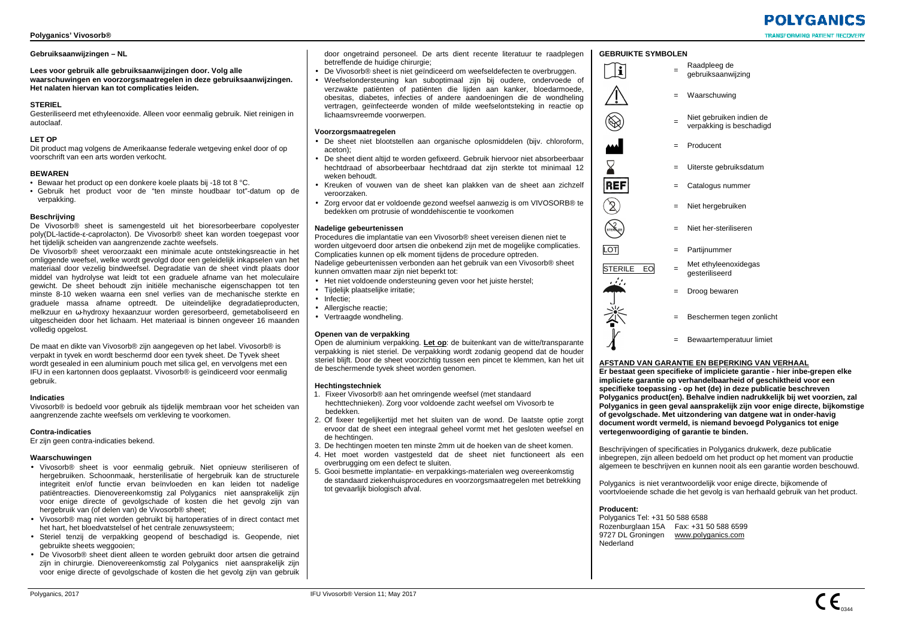## **Gebruiksaanwijzingen – NL**

**Lees voor gebruik alle gebruiksaanwijzingen door. Volg alle waarschuwingen en voorzorgsmaatregelen in deze gebruiksaanwijzingen. Het nalaten hiervan kan tot complicaties leiden.** 

## **STERIEL**

 Gesteriliseerd met ethyleenoxide. Alleen voor eenmalig gebruik. Niet reinigen in autoclaaf.

## **LET OP**

 Dit product mag volgens de Amerikaanse federale wetgeving enkel door of op voorschrift van een arts worden verkocht.

## **BEWAREN**

- Bewaar het product op een donkere koele plaats bij -18 tot 8 °C.
- Gebruik het product voor de "ten minste houdbaar tot"-datum op de verpakking.

## **Beschrijving**

 De Vivosorb® sheet is samengesteld uit het bioresorbeerbare copolyester poly(DL-lactide-ε-caprolacton). De Vivosorb® sheet kan worden toegepast voor het tijdelijk scheiden van aangrenzende zachte weefsels.

 De Vivosorb® sheet veroorzaakt een minimale acute ontstekingsreactie in het omliggende weefsel, welke wordt gevolgd door een geleidelijk inkapselen van het materiaal door vezelig bindweefsel. Degradatie van de sheet vindt plaats door middel van hydrolyse wat leidt tot een graduele afname van het moleculaire gewicht. De sheet behoudt zijn initiële mechanische eigenschappen tot ten minste 8-10 weken waarna een snel verlies van de mechanische sterkte en graduele massa afname optreedt. De uiteindelijke degradatieproducten, melkzuur en ω-hydroxy hexaanzuur worden geresorbeerd, gemetaboliseerd en uitgescheiden door het lichaam. Het materiaal is binnen ongeveer 16 maanden volledig opgelost.

De maat en dikte van Vivosorb® zijn aangegeven op het label. Vivosorb® is verpakt in tyvek en wordt beschermd door een tyvek sheet. De Tyvek sheet wordt gesealed in een aluminium pouch met silica gel, en vervolgens met een IFU in een kartonnen doos geplaatst. Vivosorb® is geïndiceerd voor eenmalig gebruik.

## **Indicaties**

 Vivosorb® is bedoeld voor gebruik als tijdelijk membraan voor het scheiden van aangrenzende zachte weefsels om verkleving te voorkomen.

## **Contra-indicaties**

Er zijn geen contra-indicaties bekend.

## **Waarschuwingen**

- Vivosorb® sheet is voor eenmalig gebruik. Niet opnieuw steriliseren of hergebruiken. Schoonmaak, hersterilisatie of hergebruik kan de structurele integriteit en/of functie ervan beïnvloeden en kan leiden tot nadelige patiëntreacties. Dienovereenkomstig zal Polyganics niet aansprakelijk zijn voor enige directe of gevolgschade of kosten die het gevolg zijn van hergebruik van (of delen van) de Vivosorb® sheet;
- Vivosorb® mag niet worden gebruikt bij hartoperaties of in direct contact met het hart, het bloedvatstelsel of het centrale zenuwsysteem;
- Steriel tenzij de verpakking geopend of beschadigd is. Geopende, niet gebruikte sheets weggooien;
- De Vivosorb® sheet dient alleen te worden gebruikt door artsen die getraind zijn in chirurgie. Dienovereenkomstig zal Polyganics niet aansprakelijk zijn voor enige directe of gevolgschade of kosten die het gevolg zijn van gebruik

door ongetraind personeel. De arts dient recente literatuur te raadplegen betreffende de huidige chirurgie;

- De Vivosorb® sheet is niet geïndiceerd om weefseldefecten te overbruggen.
- Weefselondersteuning kan suboptimaal zijn bij oudere, ondervoede of verzwakte patiënten of patiënten die lijden aan kanker, bloedarmoede, obesitas, diabetes, infecties of andere aandoeningen die de wondheling vertragen, geïnfecteerde wonden of milde weefselontsteking in reactie op lichaamsvreemde voorwerpen.

## **Voorzorgsmaatregelen**

- De sheet niet blootstellen aan organische oplosmiddelen (bijv. chloroform, aceton);
- De sheet dient altijd te worden gefixeerd. Gebruik hiervoor niet absorbeerbaar hechtdraad of absorbeerbaar hechtdraad dat zijn sterkte tot minimaal 12 weken behoudt.
- Kreuken of vouwen van de sheet kan plakken van de sheet aan zichzelf veroorzaken.
- Zorg ervoor dat er voldoende gezond weefsel aanwezig is om VIVOSORB® te bedekken om protrusie of wonddehiscentie te voorkomen

## **Nadelige gebeurtenissen**

 Procedures die implantatie van een Vivosorb® sheet vereisen dienen niet te worden uitgevoerd door artsen die onbekend zijn met de mogelijke complicaties. Complicaties kunnen op elk moment tijdens de procedure optreden. Nadelige gebeurtenissen verbonden aan het gebruik van een Vivosorb® sheet kunnen omvatten maar zijn niet beperkt tot:

- Het niet voldoende ondersteuning geven voor het juiste herstel;
- Tijdelijk plaatselijke irritatie;
- Infectie;
- Allergische reactie;
- Vertraagde wondheling.

## **Openen van de verpakking**

 Open de aluminium verpakking. **Let op**: de buitenkant van de witte/transparante verpakking is niet steriel. De verpakking wordt zodanig geopend dat de houder steriel blijft. Door de sheet voorzichtig tussen een pincet te klemmen, kan het uit de beschermende tyvek sheet worden genomen.

## **Hechtingstechniek**

- 1. Fixeer Vivosorb® aan het omringende weefsel (met standaard
- hechttechnieken). Zorg voor voldoende zacht weefsel om Vivosorb te bedekken.
- 2. Of fixeer tegelijkertijd met het sluiten van de wond. De laatste optie zorgt ervoor dat de sheet een integraal geheel vormt met het gesloten weefsel en de hechtingen.
- 3. De hechtingen moeten ten minste 2mm uit de hoeken van de sheet komen.
- 4. Het moet worden vastgesteld dat de sheet niet functioneert als een overbrugging om een defect te sluiten.
- 5. Gooi besmette implantatie- en verpakkings-materialen weg overeenkomstig de standaard ziekenhuisprocedures en voorzorgsmaatregelen met betrekking tot gevaarlijk biologisch afval.

## **GEBRUIKTE SYMBOLEN**

Raadpleeg de<br>gebruiksaanwiizing

= Waarschuwing



 $\mathbf{T}_i$ 

ΛĹ

 $\bigotimes$ 

Σ

**STERNZE** 

- = Niet gebruiken indien de<br>verpakking is beschadigd
- 
- = Producent
- = Uiterste gebruiksdatum = Catalogus nummer



- = Niet hergebruiken
- = Niet her-steriliseren
- LOT = Partijnummer
- STERILE  $\overline{EO}$  = Met ethyleenoxidegas<br>  $\overline{G}$



- = Droog bewaren
- = Beschermen tegen zonlicht
- = Bewaartemperatuur limiet

## **AFSTAND VAN GARANTIE EN BEPERKING VAN VERHAAL**

 **Er bestaat geen specifieke of impliciete garantie - hier inbe-grepen elke impliciete garantie op verhandelbaarheid of geschiktheid voor een specifieke toepassing - op het (de) in deze publicatie beschreven Polyganics product(en). Behalve indien nadrukkelijk bij wet voorzien, zal Polyganics in geen geval aansprakelijk zijn voor enige directe, bijkomstige of gevolgschade. Met uitzondering van datgene wat in onder-havig document wordt vermeld, is niemand bevoegd Polyganics tot enige vertegenwoordiging of garantie te binden.** 

Beschrijvingen of specificaties in Polyganics drukwerk, deze publicatie inbegrepen, zijn alleen bedoeld om het product op het moment van productie algemeen te beschrijven en kunnen nooit als een garantie worden beschouwd.

Polyganics is niet verantwoordelijk voor enige directe, bijkomende of voortvloeiende schade die het gevolg is van herhaald gebruik van het product.

## **Producent:**

 Polyganics Tel: +31 50 588 6588 Rozenburglaan 15A Fax: +31 50 588 6599 9727 DL Groningen www.polyganics.com Nederland

# **POIYGANICS TRANSFORMING PATIENT RECOVE**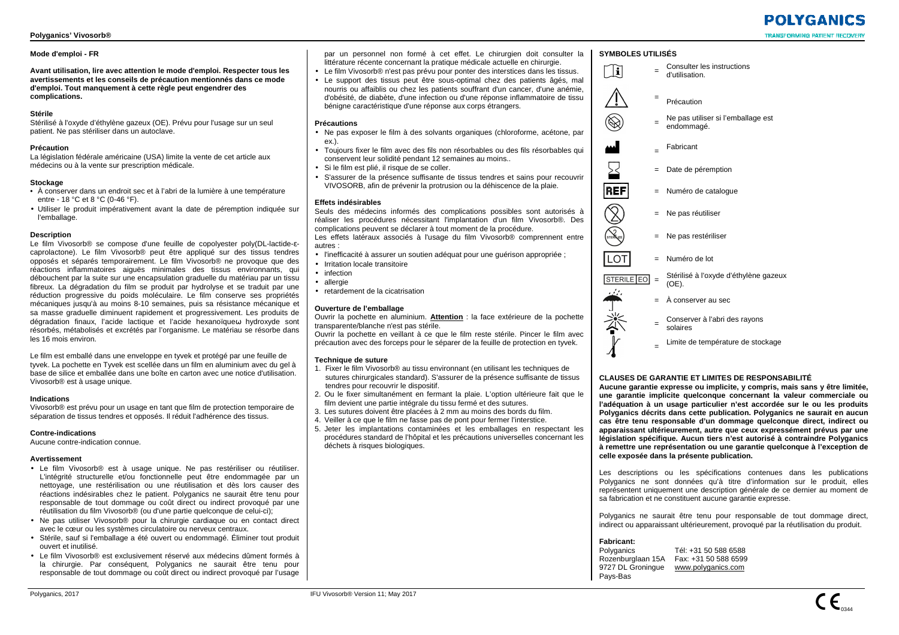## **Mode d'emploi - FR**

**Avant utilisation, lire avec attention le mode d'emploi. Respecter tous les avertissements et les conseils de précaution mentionnés dans ce mode d'emploi. Tout manquement à cette règle peut engendrer des complications.** 

## **Stérile**

 Stérilisé à l'oxyde d'éthylène gazeux (OE). Prévu pour l'usage sur un seul patient. Ne pas stériliser dans un autoclave.

## **Précaution**

 La législation fédérale américaine (USA) limite la vente de cet article aux médecins ou à la vente sur prescription médicale.

## **Stockage**

- À conserver dans un endroit sec et à l'abri de la lumière à une température entre - 18 °C et 8 °C (0-46 °F).
- Utiliser le produit impérativement avant la date de péremption indiquée sur l'emballage.

#### **Description**

 Le film Vivosorb® se compose d'une feuille de copolyester poly(DL-lactide-<sup>ε</sup> caprolactone). Le film Vivosorb® peut être appliqué sur des tissus tendres opposés et séparés temporairement. Le film Vivosorb® ne provoque que des réactions inflammatoires aiguës minimales des tissus environnants, qui débouchent par la suite sur une encapsulation graduelle du matériau par un tissu fibreux. La dégradation du film se produit par hydrolyse et se traduit par une réduction progressive du poids moléculaire. Le film conserve ses propriétés mécaniques jusqu'à au moins 8-10 semaines, puis sa résistance mécanique et sa masse graduelle diminuent rapidement et progressivement. Les produits de dégradation finaux, l'acide lactique et l'acide hexanoïqueω hydroxyde sont résorbés, métabolisés et excrétés par l'organisme. Le matériau se résorbe dans les 16 mois environ.

Le film est emballé dans une enveloppe en tyvek et protégé par une feuille de tyvek. La pochette en Tyvek est scellée dans un film en aluminium avec du gel à base de silice et emballée dans une boîte en carton avec une notice d'utilisation. Vivosorb® est à usage unique.

#### **Indications**

 Vivosorb® est prévu pour un usage en tant que film de protection temporaire de séparation de tissus tendres et opposés. Il réduit l'adhérence des tissus.

#### **Contre-indications**

Aucune contre-indication connue.

## **Avertissement**

- Le film Vivosorb® est à usage unique. Ne pas restériliser ou réutiliser. L'intégrité structurelle et/ou fonctionnelle peut être endommagée par un nettoyage, une restérilisation ou une réutilisation et dès lors causer des réactions indésirables chez le patient. Polyganics ne saurait être tenu pour responsable de tout dommage ou coût direct ou indirect provoqué par une réutilisation du film Vivosorb® (ou d'une partie quelconque de celui-ci);
- Ne pas utiliser Vivosorb® pour la chirurgie cardiaque ou en contact direct avec le cœur ou les systèmes circulatoire ou nerveux centraux.
- Stérile, sauf si l'emballage a été ouvert ou endommagé. Éliminer tout produit ouvert et inutilisé.
- Le film Vivosorb® est exclusivement réservé aux médecins dûment formés à la chirurgie. Par conséquent, Polyganics ne saurait être tenu pour responsable de tout dommage ou coût direct ou indirect provoqué par l'usage

par un personnel non formé à cet effet. Le chirurgien doit consulter la littérature récente concernant la pratique médicale actuelle en chirurgie.

- Le film Vivosorb® n'est pas prévu pour ponter des interstices dans les tissus.
- Le support des tissus peut être sous-optimal chez des patients âgés, mal nourris ou affaiblis ou chez les patients souffrant d'un cancer, d'une anémie, d'obésité, de diabète, d'une infection ou d'une réponse inflammatoire de tissu bénigne caractéristique d'une réponse aux corps étrangers.

## **Précautions**

- Ne pas exposer le film à des solvants organiques (chloroforme, acétone, par ex.).
- Toujours fixer le film avec des fils non résorbables ou des fils résorbables qui conservent leur solidité pendant 12 semaines au moins..
- Si le film est plié, il risque de se coller
- S'assurer de la présence suffisante de tissus tendres et sains pour recouvrir VIVOSORB, afin de prévenir la protrusion ou la déhiscence de la plaie.

## **Effets indésirables**

 Seuls des médecins informés des complications possibles sont autorisés à réaliser les procédures nécessitant l'implantation d'un film Vivosorb®. Des complications peuvent se déclarer à tout moment de la procédure.

 Les effets latéraux associés à l'usage du film Vivosorb® comprennent entre autres :

- l'inefficacité à assurer un soutien adéquat pour une guérison appropriée ;
- Irritation locale transitoire
- infection
- allergie
- retardement de la cicatrisation

## **Ouverture de l'emballage**

 Ouvrir la pochette en aluminium. **Attention** : la face extérieure de la pochette transparente/blanche n'est pas stérile.

 Ouvrir la pochette en veillant à ce que le film reste stérile. Pincer le film avec précaution avec des forceps pour le séparer de la feuille de protection en tyvek.

## **Technique de suture**

- 1. Fixer le film Vivosorb® au tissu environnant (en utilisant les techniques de sutures chirurgicales standard). S'assurer de la présence suffisante de tissus tendres pour recouvrir le dispositif.
- 2. Ou le fixer simultanément en fermant la plaie. L'option ultérieure fait que le film devient une partie intégrale du tissu fermé et des sutures.
- 3. Les sutures doivent être placées à 2 mm au moins des bords du film.
- 4. Veiller à ce que le film ne fasse pas de pont pour fermer l'interstice.
- 5. Jeter les implantations contaminées et les emballages en respectant les procédures standard de l'hôpital et les précautions universelles concernant les déchets à risques biologiques.



- = Date de péremption
- = Numéro de catalogue
- = Ne pas réutiliser
- = Ne pas restériliser
- = Numéro de lot
- Stérilisé à l'oxyde d'éthylène gazeux<br>(OF). **STERILE EO** =



**REF** 

 $\widehat{\mathbb{Z}}$ **Report** 

LOT

 $\breve{\mathbb{A}}$ 

=

**SYMBOLES UTILISÉS**

- = À conserver au sec
	- Conserver à l'abri des rayons<br>solaires
	- Limite de température de stockage

## **CLAUSES DE GARANTIE ET LIMITES DE RESPONSABILITÉ**

 **Aucune garantie expresse ou implicite, y compris, mais sans y être limitée, une garantie implicite quelconque concernant la valeur commerciale ou l'adéquation à un usage particulier n'est accordée sur le ou les produits Polyganics décrits dans cette publication. Polyganics ne saurait en aucun cas être tenu responsable d'un dommage quelconque direct, indirect ou apparaissant ultérieurement, autre que ceux expressément prévus par une législation spécifique. Aucun tiers n'est autorisé à contraindre Polyganics à remettre une représentation ou une garantie quelconque à l'exception de celle exposée dans la présente publication.** 

Les descriptions ou les spécifications contenues dans les publications Polyganics ne sont données qu'à titre d'information sur le produit, elles représentent uniquement une description générale de ce dernier au moment de sa fabrication et ne constituent aucune garantie expresse.

Polyganics ne saurait être tenu pour responsable de tout dommage direct, indirect ou apparaissant ultérieurement, provoqué par la réutilisation du produit.

**Fabricant:** 

Polyganics Polyganics Tél: +31 50 588 6588 Rozenburglaan 15A Fax: +31 50 588 6599 9727 DL Groningue www.polyganics.com Pays-Bas

# **POIYGANICS**

**TRANSFORMING PATIENT RECOVI**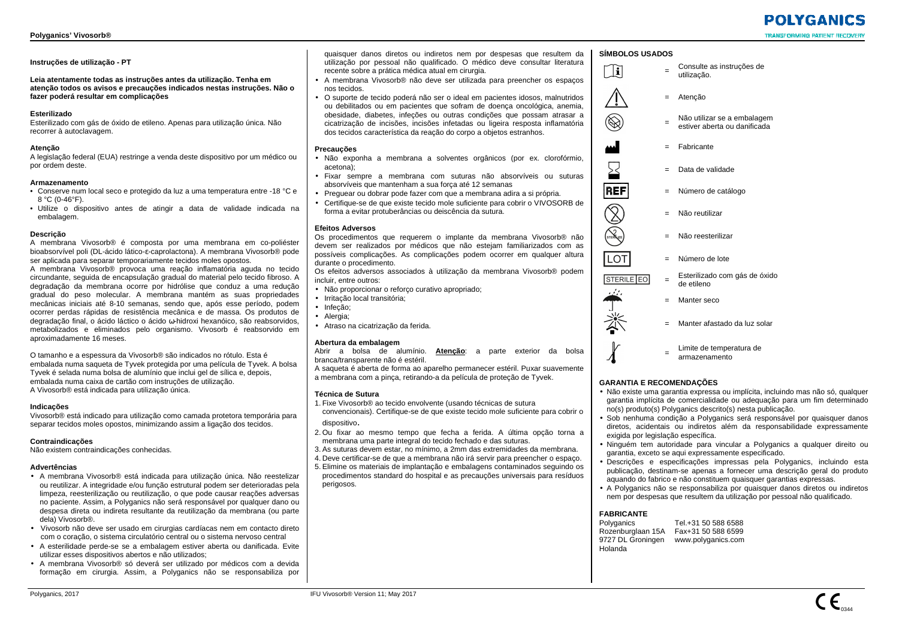## **Instruções de utilização - PT**

**Leia atentamente todas as instruções antes da utilização. Tenha em atenção todos os avisos e precauções indicados nestas instruções. Não o fazer poderá resultar em complicações** 

## **Esterilizado**

 Esterilizado com gás de óxido de etileno. Apenas para utilização única. Não recorrer à autoclavagem.

## **Atenção**

 A legislação federal (EUA) restringe a venda deste dispositivo por um médico ou por ordem deste.

## **Armazenamento**

- Conserve num local seco e protegido da luz a uma temperatura entre -18 °C e 8 °C (0-46°F).
- Utilize o dispositivo antes de atingir a data de validade indicada na embalagem.

## **Descrição**

 A membrana Vivosorb® é composta por uma membrana em co-poliéster bioabsorvível poli (DL-ácido lático-ε-caprolactona). A membrana Vivosorb® pode ser aplicada para separar temporariamente tecidos moles opostos.

 A membrana Vivosorb® provoca uma reação inflamatória aguda no tecido circundante, seguida de encapsulação gradual do material pelo tecido fibroso. A degradação da membrana ocorre por hidrólise que conduz a uma redução gradual do peso molecular. A membrana mantém as suas propriedades mecânicas iniciais até 8-10 semanas, sendo que, após esse período, podem ocorrer perdas rápidas de resistência mecânica e de massa. Os produtos de degradação final, o ácido láctico o ácido ω-hidroxi hexanóico, são reabsorvidos, metabolizados e eliminados pelo organismo. Vivosorb é reabsorvido em aproximadamente 16 meses.

O tamanho e a espessura da Vivosorb® são indicados no rótulo. Esta é embalada numa saqueta de Tyvek protegida por uma película de Tyvek. A bolsa Tyvek é selada numa bolsa de alumínio que inclui gel de sílica e, depois, embalada numa caixa de cartão com instruções de utilização. A Vivosorb® está indicada para utilização única.

## **Indicações**

 Vivosorb® está indicado para utilização como camada protetora temporária para separar tecidos moles opostos, minimizando assim a ligação dos tecidos.

## **Contraindicações**

Não existem contraindicações conhecidas.

## **Advertências**

- A membrana Vivosorb® está indicada para utilização única. Não reestelizar ou reutilizar. A integridade e/ou função estrutural podem ser deterioradas pela limpeza, reesterilização ou reutilização, o que pode causar reações adversas no paciente. Assim, a Polyganics não será responsável por qualquer dano ou despesa direta ou indireta resultante da reutilização da membrana (ou parte dela) Vivosorb®.
- Vivosorb não deve ser usado em cirurgias cardíacas nem em contacto direto com o coração, o sistema circulatório central ou o sistema nervoso central
- A esterilidade perde-se se a embalagem estiver aberta ou danificada. Evite utilizar esses dispositivos abertos e não utilizados;
- A membrana Vivosorb® só deverá ser utilizado por médicos com a devida formação em cirurgia. Assim, a Polyganics não se responsabiliza por

quaisquer danos diretos ou indiretos nem por despesas que resultem da utilização por pessoal não qualificado. O médico deve consultar literatura recente sobre a prática médica atual em cirurgia.

- A membrana Vivosorb® não deve ser utilizada para preencher os espaços nos tecidos.
- O suporte de tecido poderá não ser o ideal em pacientes idosos, malnutridos ou debilitados ou em pacientes que sofram de doença oncológica, anemia, obesidade, diabetes, infeções ou outras condições que possam atrasar a cicatrização de incisões, incisões infetadas ou ligeira resposta inflamatória dos tecidos característica da reação do corpo a objetos estranhos.

## **Precauções**

- Não exponha a membrana a solventes orgânicos (por ex. clorofórmio, acetona);
- Fixar sempre a membrana com suturas não absorvíveis ou suturas absorvíveis que mantenham a sua força até 12 semanas
- Preguear ou dobrar pode fazer com que a membrana adira a si própria.
- Certifique-se de que existe tecido mole suficiente para cobrir o VIVOSORB de forma a evitar protuberâncias ou deiscência da sutura.

## **Efeitos Adversos**

 Os procedimentos que requerem o implante da membrana Vivosorb® não devem ser realizados por médicos que não estejam familiarizados com as possíveis complicações. As complicações podem ocorrer em qualquer altura durante o procedimento.

 Os efeitos adversos associados à utilização da membrana Vivosorb® podem incluir, entre outros:

- Não proporcionar o reforço curativo apropriado;
- Irritação local transitória;
- Infeção;
- Alergia;
- Atraso na cicatrização da ferida.

## **Abertura da embalagem**

 Abrir a bolsa de alumínio. **Atenção**: a parte exterior da bolsa branca/transparente não é estéril.

 A saqueta é aberta de forma ao aparelho permanecer estéril. Puxar suavemente a membrana com a pinça, retirando-a da película de proteção de Tyvek.

## **Técnica de Sutura**

- 1. Fixe Vivosorb® ao tecido envolvente (usando técnicas de sutura
- convencionais). Certifique-se de que existe tecido mole suficiente para cobrir o dispositivo.
- 2. Ou fixar ao mesmo tempo que fecha a ferida. A última opção torna a membrana uma parte integral do tecido fechado e das suturas.
- 3. As suturas devem estar, no mínimo, a 2mm das extremidades da membrana.
- 4. Deve certificar-se de que a membrana não irá servir para preencher o espaço.
- 5. Elimine os materiais de implantação e embalagens contaminados seguindo os procedimentos standard do hospital e as precauções universais para resíduos perigosos.

## **SÍMBOLOS USADOS**

Consulte as instruções de<br>utilização.



ה<br>ה

 $\bigotimes$ 

 $\sum$ **REF** 

> $\widehat{\mathbb{Z}}$ **STERNZE**

 $\overline{LOT}$ 

- 
- = Não utilizar se a embalagem<br>estiver aberta ou danificada
- = Fabricante

= Atenção

- Data de validade
- = Número de catálogo
	- = Não reutilizar
	- = Não reesterilizar
	- = Número de lote
- $=$  Esterilizado com gás de óxido  $=$  de etileno STERILE EO



- 
- Manter seco
- -

Manter afastado da luz solar

Limite de temperatura de<br>armazenamento

## **GARANTIA E RECOMENDAÇÕES**

- Não existe uma garantia expressa ou implícita, incluindo mas não só, qualquer garantia implícita de comercialidade ou adequação para um fim determinado no(s) produto(s) Polyganics descrito(s) nesta publicação.
- Sob nenhuma condição a Polyganics será responsável por quaisquer danos diretos, acidentais ou indiretos além da responsabilidade expressamente exigida por legislação específica.
- Ninguém tem autoridade para vincular a Polyganics a qualquer direito ou garantia, exceto se aqui expressamente especificado.
- Descrições e especificações impressas pela Polyganics, incluindo esta publicação, destinam-se apenas a fornecer uma descrição geral do produto aquando do fabrico e não constituem quaisquer garantias expressas.
- A Polyganics não se responsabiliza por quaisquer danos diretos ou indiretos nem por despesas que resultem da utilização por pessoal não qualificado.

## **FABRICANTE**

Polyganics Tel.+31 50 588 6588 Rozenburglaan 15A Fax+31 50 588 6599 9727 DL Groningen www.polyganics.com Holanda



**POIYGANICS** 

**TRANSFORMING PATIENT RECOVE**